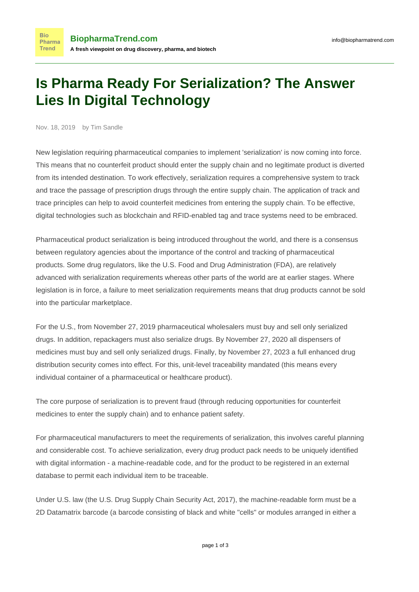## **Is Pharma Ready For Serialization? The Answer Lies In Digital Technology**

Nov. 18, 2019 by Tim Sandle

**Bio** 

Trend

New legislation requiring pharmaceutical companies to implement 'serialization' is now coming into force. This means that no counterfeit product should enter the supply chain and no legitimate product is diverted from its intended destination. To work effectively, [serialization requires](https://www.pharmamanufacturing.com/articles/2015/serialization-drug-quality-security-act/) a comprehensive system to track and trace the passage of prescription drugs through the entire supply chain. The application of track and trace principles can help to avoid counterfeit medicines from entering the supply chain. To be effective, digital technologies such as blockchain and RFID-enabled tag and trace systems need to be embraced.

Pharmaceutical product serialization is being introduced throughout the world, and there is a consensus between regulatory agencies about the importance of the control and tracking of pharmaceutical products. Some drug regulators, like the U.S. Food and Drug Administration (FDA), are relatively advanced with serialization requirements whereas other parts of the world are at earlier stages. Where legislation is in force, a failure to meet serialization requirements means that drug products cannot be sold into the particular marketplace.

For the U.S., from November 27, 2019 pharmaceutical wholesalers must buy and sell only serialized drugs. In addition, repackagers must also serialize drugs. By November 27, 2020 all dispensers of medicines must buy and sell only serialized drugs. Finally, by November 27, 2023 a full enhanced drug distribution security comes into effect. For this, unit-level traceability mandated (this means every individual container of a pharmaceutical or healthcare product).

The core purpose of serialization is to prevent fraud (through reducing opportunities for counterfeit medicines to enter the supply chain) and to enhance patient safety.

For pharmaceutical manufacturers to meet the requirements of serialization, this involves careful planning and considerable cost. To achieve serialization, every drug product pack needs to be uniquely identified with digital information - a machine-readable code, and for the product to be registered in an external database to permit each individual item to be traceable.

Under U.S. law (the [U.S. Drug Supply Chain Security Act, 2017](http://www.pharmtech.com/serialization-final-countdown)), the machine-readable form must be a 2D Datamatrix barcode (a barcode consisting of black and white "cells" or modules arranged in either a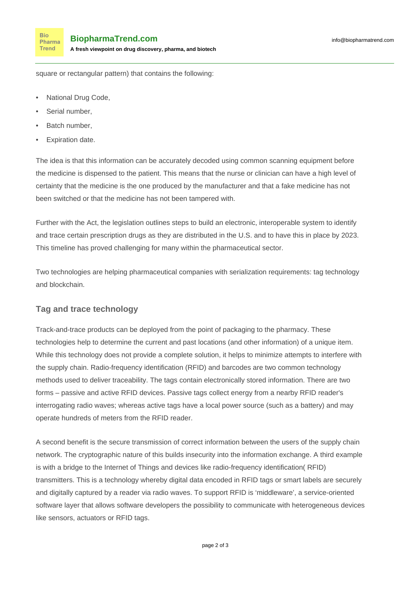square or rectangular pattern) that contains the following:

- National Drug Code,
- Serial number.

**Bio** Pharma Trend

- Batch number,
- Expiration date.

The idea is that this information can be accurately decoded using common scanning equipment before the medicine is dispensed to the patient. This means that the nurse or clinician can have a high level of certainty that the medicine is the one produced by the manufacturer and that a fake medicine has not been switched or that the medicine has not been tampered with.

Further with the Act, the legislation outlines steps to build an electronic, interoperable system to identify and trace certain prescription drugs as they are distributed in the U.S. and to have this in place by 2023. This timeline has proved challenging for many within the pharmaceutical sector.

Two technologies are helping pharmaceutical companies with serialization requirements: tag technology and blockchain.

## **Tag and trace technology**

Track-and-trace products can be deployed from the point of packaging to the pharmacy. These technologies help to determine the current and past locations (and other information) of a unique item. While this technology does not provide a complete solution, it helps to minimize attempts to interfere with the supply chain. Radio-frequency identification (RFID) and barcodes are two common technology methods used to deliver traceability. The tags contain electronically stored information. There are two forms – passive and active RFID devices. Passive tags collect energy from a nearby RFID reader's interrogating radio waves; whereas active tags have a local power source (such as a battery) and may operate hundreds of meters from the RFID reader.

A second benefit is the secure transmission of correct information between the users of the supply chain network. The cryptographic nature of this builds insecurity into the information exchange. A third example is with a bridge to the Internet of Things and devices like radio-frequency identification( RFID) transmitters. This is a technology whereby digital data encoded in RFID tags or smart labels are securely and digitally captured by a reader via radio waves. To support RFID is 'middleware', a service-oriented software layer that allows software developers the possibility to communicate with heterogeneous devices like sensors, actuators or RFID tags.